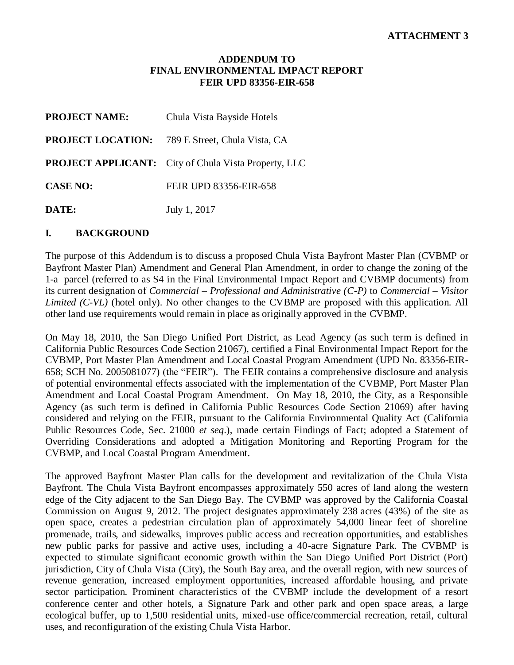#### **ADDENDUM TO FINAL ENVIRONMENTAL IMPACT REPORT FEIR UPD 83356-EIR-658**

| <b>PROJECT NAME:</b> | Chula Vista Bayside Hotels                                  |
|----------------------|-------------------------------------------------------------|
|                      | <b>PROJECT LOCATION:</b> 789 E Street, Chula Vista, CA      |
|                      | <b>PROJECT APPLICANT:</b> City of Chula Vista Property, LLC |
| <b>CASE NO:</b>      | FEIR UPD 83356-EIR-658                                      |
| DATE:                | July 1, 2017                                                |

#### **I. BACKGROUND**

The purpose of this Addendum is to discuss a proposed Chula Vista Bayfront Master Plan (CVBMP or Bayfront Master Plan) Amendment and General Plan Amendment, in order to change the zoning of the 1-a parcel (referred to as S4 in the Final Environmental Impact Report and CVBMP documents) from its current designation of *Commercial – Professional and Administrative (C-P)* to *Commercial – Visitor Limited (C-VL)* (hotel only). No other changes to the CVBMP are proposed with this application. All other land use requirements would remain in place as originally approved in the CVBMP.

On May 18, 2010, the San Diego Unified Port District, as Lead Agency (as such term is defined in California Public Resources Code Section 21067), certified a Final Environmental Impact Report for the CVBMP, Port Master Plan Amendment and Local Coastal Program Amendment (UPD No. 83356-EIR-658; SCH No. 2005081077) (the "FEIR"). The FEIR contains a comprehensive disclosure and analysis of potential environmental effects associated with the implementation of the CVBMP, Port Master Plan Amendment and Local Coastal Program Amendment. On May 18, 2010, the City, as a Responsible Agency (as such term is defined in California Public Resources Code Section 21069) after having considered and relying on the FEIR, pursuant to the California Environmental Quality Act (California Public Resources Code, Sec. 21000 *et seq*.), made certain Findings of Fact; adopted a Statement of Overriding Considerations and adopted a Mitigation Monitoring and Reporting Program for the CVBMP, and Local Coastal Program Amendment.

The approved Bayfront Master Plan calls for the development and revitalization of the Chula Vista Bayfront. The Chula Vista Bayfront encompasses approximately 550 acres of land along the western edge of the City adjacent to the San Diego Bay. The CVBMP was approved by the California Coastal Commission on August 9, 2012. The project designates approximately 238 acres (43%) of the site as open space, creates a pedestrian circulation plan of approximately 54,000 linear feet of shoreline promenade, trails, and sidewalks, improves public access and recreation opportunities, and establishes new public parks for passive and active uses, including a 40-acre Signature Park. The CVBMP is expected to stimulate significant economic growth within the San Diego Unified Port District (Port) jurisdiction, City of Chula Vista (City), the South Bay area, and the overall region, with new sources of revenue generation, increased employment opportunities, increased affordable housing, and private sector participation. Prominent characteristics of the CVBMP include the development of a resort conference center and other hotels, a Signature Park and other park and open space areas, a large ecological buffer, up to 1,500 residential units, mixed-use office/commercial recreation, retail, cultural uses, and reconfiguration of the existing Chula Vista Harbor.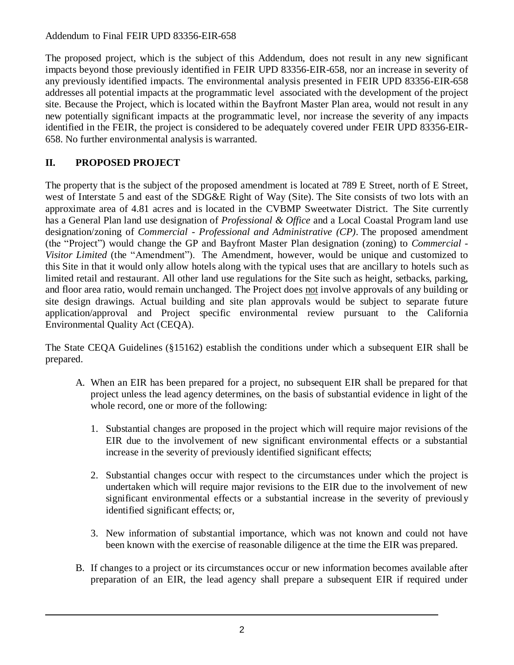#### Addendum to Final FEIR UPD 83356-EIR-658

The proposed project, which is the subject of this Addendum, does not result in any new significant impacts beyond those previously identified in FEIR UPD 83356-EIR-658, nor an increase in severity of any previously identified impacts. The environmental analysis presented in FEIR UPD 83356-EIR-658 addresses all potential impacts at the programmatic level associated with the development of the project site. Because the Project, which is located within the Bayfront Master Plan area, would not result in any new potentially significant impacts at the programmatic level, nor increase the severity of any impacts identified in the FEIR, the project is considered to be adequately covered under FEIR UPD 83356-EIR-658. No further environmental analysis is warranted.

# **II. PROPOSED PROJECT**

The property that is the subject of the proposed amendment is located at 789 E Street, north of E Street, west of Interstate 5 and east of the SDG&E Right of Way (Site). The Site consists of two lots with an approximate area of 4.81 acres and is located in the CVBMP Sweetwater District. The Site currently has a General Plan land use designation of *Professional & Office* and a Local Coastal Program land use designation/zoning of *Commercial - Professional and Administrative (CP)*. The proposed amendment (the "Project") would change the GP and Bayfront Master Plan designation (zoning) to *Commercial - Visitor Limited* (the "Amendment"). The Amendment, however, would be unique and customized to this Site in that it would only allow hotels along with the typical uses that are ancillary to hotels such as limited retail and restaurant. All other land use regulations for the Site such as height, setbacks, parking, and floor area ratio, would remain unchanged. The Project does not involve approvals of any building or site design drawings. Actual building and site plan approvals would be subject to separate future application/approval and Project specific environmental review pursuant to the California Environmental Quality Act (CEQA).

The State CEQA Guidelines (§15162) establish the conditions under which a subsequent EIR shall be prepared.

- A. When an EIR has been prepared for a project, no subsequent EIR shall be prepared for that project unless the lead agency determines, on the basis of substantial evidence in light of the whole record, one or more of the following:
	- 1. Substantial changes are proposed in the project which will require major revisions of the EIR due to the involvement of new significant environmental effects or a substantial increase in the severity of previously identified significant effects;
	- 2. Substantial changes occur with respect to the circumstances under which the project is undertaken which will require major revisions to the EIR due to the involvement of new significant environmental effects or a substantial increase in the severity of previously identified significant effects; or,
	- 3. New information of substantial importance, which was not known and could not have been known with the exercise of reasonable diligence at the time the EIR was prepared.
- B. If changes to a project or its circumstances occur or new information becomes available after preparation of an EIR, the lead agency shall prepare a subsequent EIR if required under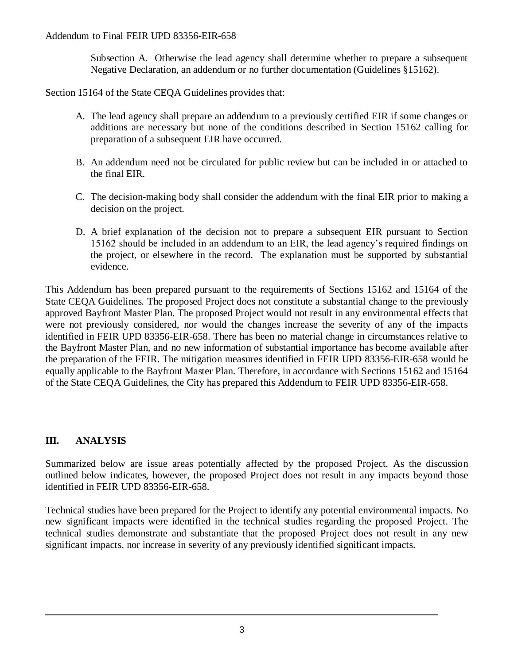Subsection A. Otherwise the lead agency shall determine whether to prepare a subsequent Negative Declaration, an addendum or no further documentation (Guidelines §15162).

Section 15164 of the State CEQA Guidelines provides that:

- A. The lead agency shall prepare an addendum to a previously certified EIR if some changes or additions are necessary but none of the conditions described in Section 15162 calling for preparation of a subsequent EIR have occurred.
- B. An addendum need not be circulated for public review but can be included in or attached to the final EIR.
- C. The decision-making body shall consider the addendum with the final EIR prior to making a decision on the project.
- D. A brief explanation of the decision not to prepare a subsequent EIR pursuant to Section 15162 should be included in an addendum to an EIR, the lead agency's required findings on the project, or elsewhere in the record. The explanation must be supported by substantial evidence.

This Addendum has been prepared pursuant to the requirements of Sections 15162 and 15164 of the State CEQA Guidelines. The proposed Project does not constitute a substantial change to the previously approved Bayfront Master Plan. The proposed Project would not result in any environmental effects that were not previously considered, nor would the changes increase the severity of any of the impacts identified in FEIR UPD 83356-EIR-658. There has been no material change in circumstances relative to the Bayfront Master Plan, and no new information of substantial importance has become available after the preparation of the FEIR. The mitigation measures identified in FEIR UPD 83356-EIR-658 would be equally applicable to the Bayfront Master Plan. Therefore, in accordance with Sections 15162 and 15164 of the State CEQA Guidelines, the City has prepared this Addendum to FEIR UPD 83356-EIR-658.

# **III. ANALYSIS**

Summarized below are issue areas potentially affected by the proposed Project. As the discussion outlined below indicates, however, the proposed Project does not result in any impacts beyond those identified in FEIR UPD 83356-EIR-658.

Technical studies have been prepared for the Project to identify any potential environmental impacts. No new significant impacts were identified in the technical studies regarding the proposed Project. The technical studies demonstrate and substantiate that the proposed Project does not result in any new significant impacts, nor increase in severity of any previously identified significant impacts.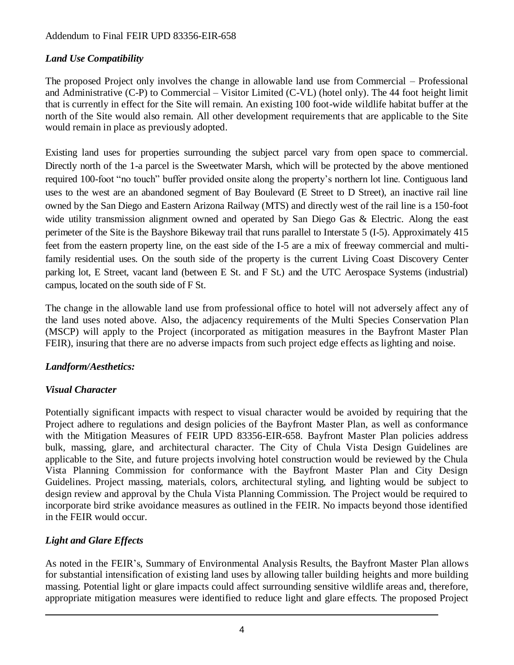#### Addendum to Final FEIR UPD 83356-EIR-658

### *Land Use Compatibility*

The proposed Project only involves the change in allowable land use from Commercial – Professional and Administrative (C-P) to Commercial – Visitor Limited (C-VL) (hotel only). The 44 foot height limit that is currently in effect for the Site will remain. An existing 100 foot-wide wildlife habitat buffer at the north of the Site would also remain. All other development requirements that are applicable to the Site would remain in place as previously adopted.

Existing land uses for properties surrounding the subject parcel vary from open space to commercial. Directly north of the 1-a parcel is the Sweetwater Marsh, which will be protected by the above mentioned required 100-foot "no touch" buffer provided onsite along the property's northern lot line. Contiguous land uses to the west are an abandoned segment of Bay Boulevard (E Street to D Street), an inactive rail line owned by the San Diego and Eastern Arizona Railway (MTS) and directly west of the rail line is a 150-foot wide utility transmission alignment owned and operated by San Diego Gas & Electric. Along the east perimeter of the Site is the Bayshore Bikeway trail that runs parallel to Interstate 5 (I-5). Approximately 415 feet from the eastern property line, on the east side of the I-5 are a mix of freeway commercial and multifamily residential uses. On the south side of the property is the current Living Coast Discovery Center parking lot, E Street, vacant land (between E St. and F St.) and the UTC Aerospace Systems (industrial) campus, located on the south side of F St.

The change in the allowable land use from professional office to hotel will not adversely affect any of the land uses noted above. Also, the adjacency requirements of the Multi Species Conservation Plan (MSCP) will apply to the Project (incorporated as mitigation measures in the Bayfront Master Plan FEIR), insuring that there are no adverse impacts from such project edge effects as lighting and noise.

### *Landform/Aesthetics:*

### *Visual Character*

Potentially significant impacts with respect to visual character would be avoided by requiring that the Project adhere to regulations and design policies of the Bayfront Master Plan, as well as conformance with the Mitigation Measures of FEIR UPD 83356-EIR-658. Bayfront Master Plan policies address bulk, massing, glare, and architectural character. The City of Chula Vista Design Guidelines are applicable to the Site, and future projects involving hotel construction would be reviewed by the Chula Vista Planning Commission for conformance with the Bayfront Master Plan and City Design Guidelines. Project massing, materials, colors, architectural styling, and lighting would be subject to design review and approval by the Chula Vista Planning Commission. The Project would be required to incorporate bird strike avoidance measures as outlined in the FEIR. No impacts beyond those identified in the FEIR would occur.

# *Light and Glare Effects*

As noted in the FEIR's, Summary of Environmental Analysis Results, the Bayfront Master Plan allows for substantial intensification of existing land uses by allowing taller building heights and more building massing. Potential light or glare impacts could affect surrounding sensitive wildlife areas and, therefore, appropriate mitigation measures were identified to reduce light and glare effects. The proposed Project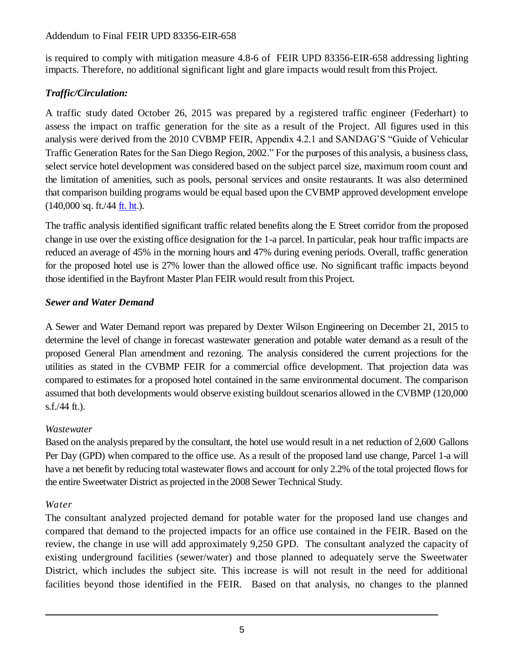#### Addendum to Final FEIR UPD 83356-EIR-658

is required to comply with mitigation measure 4.8-6 of FEIR UPD 83356-EIR-658 addressing lighting impacts. Therefore, no additional significant light and glare impacts would result from this Project.

# *Traffic/Circulation:*

A traffic study dated October 26, 2015 was prepared by a registered traffic engineer (Federhart) to assess the impact on traffic generation for the site as a result of the Project. All figures used in this analysis were derived from the 2010 CVBMP FEIR, Appendix 4.2.1 and SANDAG'S "Guide of Vehicular Traffic Generation Rates for the San Diego Region, 2002." For the purposes of this analysis, a business class, select service hotel development was considered based on the subject parcel size, maximum room count and the limitation of amenities, such as pools, personal services and onsite restaurants. It was also determined that comparison building programs would be equal based upon the CVBMP approved development envelope  $(140,000 \text{ sq. ft.}/44 \text{ ft. ht.}).$  $(140,000 \text{ sq. ft.}/44 \text{ ft. ht.}).$  $(140,000 \text{ sq. ft.}/44 \text{ ft. ht.}).$ 

The traffic analysis identified significant traffic related benefits along the E Street corridor from the proposed change in use over the existing office designation for the 1-a parcel. In particular, peak hour traffic impacts are reduced an average of 45% in the morning hours and 47% during evening periods. Overall, traffic generation for the proposed hotel use is 27% lower than the allowed office use. No significant traffic impacts beyond those identified in the Bayfront Master Plan FEIR would result from this Project.

## *Sewer and Water Demand*

A Sewer and Water Demand report was prepared by Dexter Wilson Engineering on December 21, 2015 to determine the level of change in forecast wastewater generation and potable water demand as a result of the proposed General Plan amendment and rezoning. The analysis considered the current projections for the utilities as stated in the CVBMP FEIR for a commercial office development. That projection data was compared to estimates for a proposed hotel contained in the same environmental document. The comparison assumed that both developments would observe existing buildout scenarios allowed in the CVBMP (120,000 s.f./44 ft.).

### *Wastewater*

Based on the analysis prepared by the consultant, the hotel use would result in a net reduction of 2,600 Gallons Per Day (GPD) when compared to the office use. As a result of the proposed land use change, Parcel 1-a will have a net benefit by reducing total wastewater flows and account for only 2.2% of the total projected flows for the entire Sweetwater District as projected in the 2008 Sewer Technical Study.

### *Water*

The consultant analyzed projected demand for potable water for the proposed land use changes and compared that demand to the projected impacts for an office use contained in the FEIR. Based on the review, the change in use will add approximately 9,250 GPD. The consultant analyzed the capacity of existing underground facilities (sewer/water) and those planned to adequately serve the Sweetwater District, which includes the subject site. This increase is will not result in the need for additional facilities beyond those identified in the FEIR. Based on that analysis, no changes to the planned